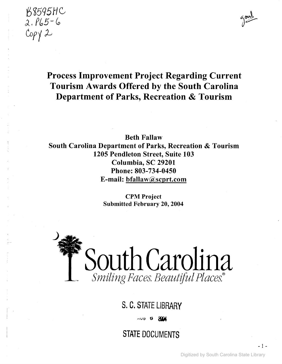$\mathcal{H}$  3.743  $\mathcal{H} \cup$ ~, P~5- *Co*  $Copy 2$ 

# Process Improvement Project Regarding Current Tourism Awards Offered by the South Carolina Department of Parks, Recreation & Tourism

Beth Fallaw South Carolina Department of Parks, Recreation & Tourism 1205 Pendleton Street, Suite 103 Columbia, SC 29201 Phone: 803-734-0450 E-mail: bfallaw@scprt.com

> CPM Project Submitted February 20, 2004



S. C. STATE LIBRARY

 $AUD$  **0 204** 

STATE DOCUMENTS

- 1 -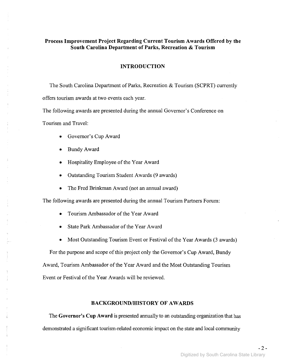# **Process Improvement Project Regarding Current Tourism Awards Offered by the South Carolina Department of Parks, Recreation & Tourism**

## **INTRODUCTION**

The South Carolina Department of Parks, Recreation & Tourism (SCPRT) currently offers tourism awards at two events each year.

The following awards are presented during the annual Governor's Conference on

Tourism and Travel:

- Governor's Cup Award
- Bundy Award
- Hospitality Employee of the Year Award
- Outstanding Tourism Student Awards (9 awards)
- The Fred Brinkman Award (not an annual award)

The following awards are presented during the annual Tourism Partners Forum:

- Tourism Ambassador of the Year Award
- State Park Ambassador of the Year Award
- Most Outstanding Tourism Event or Festival of the Year Awards (3 awards)

For the purpose and scope of this project only the Governor's Cup Award, Bundy Award, Tourism Ambassador of the Year Award and the Most Outstanding Tourism Event or Festival of the Year Awards will be reviewed.

## **BACKGROUND/HISTORY OF AWARDS**

The Governor's Cup Award is presented annually to an outstanding organization that has demonstrated a significant tourism-related economic impact on the state and local community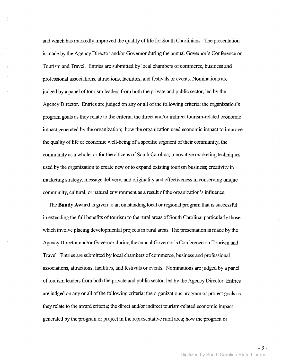and which has markedly improved the quality of life for South Carolinians. The presentation is made by the Agency Director and/or Governor during the annual Governor's Conference on Tourism and Travel. Entries are submitted by local chambers of commerce, business and professional associations, attractions, facilities, and festivals or events. Nominations are judged by a panel of tourism leaders from both the private and public sector, led by the Agency Director. Entries are judged on any or all of the following criteria: the organization's program goals as they relate to the criteria; the direct and/or indirect tourism-related economic impact generated by the organization; how the organization used economic impact to improve the quality of life or economic well-being of a specific segment of their community, the community as a whole, or for the citizens of South Carolina; innovative marketing techniques used by the organization to create new or to expand existing tourism business; creativity in marketing strategy, message delivery, and originality and effectiveness in conserving unique community, cultural, or natural environment as a result of the organization's influence.

The **Bundy Award** is given to an outstanding local or regional program that is successful in extending the full benefits of tourism to the rural areas of South Carolina; particularly those which involve placing developmental projects in rural areas. The presentation is made by the Agency Director and/or Governor during the annual Governor's Conference on Tourism and Travel. Entries are submitted by local chambers of commerce, business and professional associations, attractions, facilities, and festivals or events. Nominations are judged by a panel oftourism leaders from both the private and public sector, led by the Agency Director. Entries are judged on any or all ofthe following criteria: the organizations program or project goals as they relate to the award criteria; the direct and/or indirect tourism-related economic impact generated by the program or project in the representative rural area; how the program or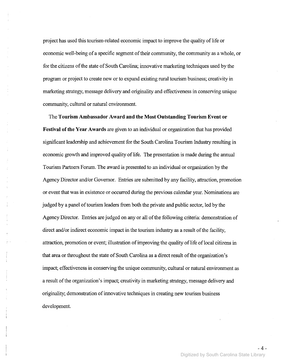project has used this tourism-related economic impact to improve the quality of life or economic well-being of a specific segment of their community, the community as a whole, or for the citizens of the state of South Carolina; innovative marketing techniques used by the program or project to create new or to expand existing rural tourism business; creativity in marketing strategy, message delivery and originality and effectiveness in conserving unique community, cultural or natural environment.

The **Tourism Ambassador Award and the Most Outstanding Tourism Event or** Festival of the Year Awards are given to an individual or organization that has provided significant leadership and achievement for the South Carolina Tourism Industry resulting in economic growth and improved quality of life. The presentation is made during the annual Tourism Partners Forum. The award is presented to an individual or organization by the Agency Director and/or Governor. Entries are submitted by any facility, attraction, promotion or event that was in existence or occurred during the previous calendar year. Nominations are judged by a panel of tourism leaders from both the private and public sector, led by the Agency Director. Entries are judged on any or all of the following criteria: demonstration of direct and/or indirect economic impact in the tourism industry as a result of the facility, attraction, promotion or event; illustration of improving the quality of life of local citizens in that area or throughout the state of South Carolina as a direct result of the organization's impact; effectiveness in conserving the unique community, cultural or natural environment as a result of the organization's impact; creativity in marketing strategy, message delivery and originality; demonstration of innovative techniques in creating new tourism business development.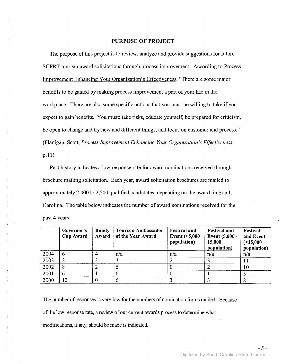# **PURPOSE OF PROJECT**

The purpose of this project is to review, analyze and provide suggestions for future SCPRT tourism award solicitations through process improvement. According to Process Improvement Enhancing Your Organization's Effectiveness, "There are some major benefits to be gained by making process improvement a part of your life in the workplace. There are also some specific actions that you must be willing to take if you expect to gain benefits. You must: take risks, educate yourself, be prepared for criticism, be open to change and try new and different things, and focus on customer and process." (Flanigan, Scott, *Process Improvement Enhancing Your Organization's Effectiveness,*

p.ll)

Past history indicates a low response rate for award nominations received through brochure mailing solicitation. Each year, award solicitation brochures are mailed to approximately 2,000 to 2,500 qualified candidates, depending on the award, in South Carolina. The table below indicates the number of award nominations received for the past 4 years.

|      | Governor's<br><b>Cup Award</b> | <b>Bundy</b><br>Award | <b>Tourism Ambassador</b><br>of the Year Award | <b>Festival and</b><br>Event $(<5,000$<br>population) | <b>Festival and</b><br><b>Event</b> (5,000 -<br>15,000<br>population) | Festival<br>and Event<br>$($ >15,000<br>population) |
|------|--------------------------------|-----------------------|------------------------------------------------|-------------------------------------------------------|-----------------------------------------------------------------------|-----------------------------------------------------|
| 2004 | 6                              |                       | n/a                                            | n/a                                                   | n/a                                                                   | n/a                                                 |
| 2003 |                                |                       |                                                |                                                       |                                                                       | 11                                                  |
| 2002 | 8                              |                       |                                                |                                                       |                                                                       | 10                                                  |
| 2001 | 6                              |                       | $\theta$                                       | O                                                     |                                                                       |                                                     |
| 2000 | 12                             |                       | 6                                              |                                                       |                                                                       |                                                     |

The number of responses is very low for the numbers of nomination forms mailed. Because

of the low response rate, a review of our current awards process to determine what

modifications, if any, should be made is indicated.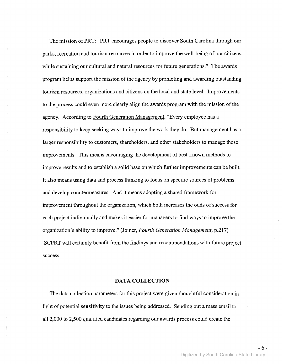The mission of PRT: "PRT encourages people to discover South Carolina through our parks, recreation and tourism resources in order to improve the well-being of our citizens, while sustaining our cultural and natural resources for future generations." The awards program helps support the mission of the agency by promoting and awarding outstanding tourism resources, organizations and citizens on the local and state level. Improvements to the process could even more clearly align the awards program with the mission of the agency. According to Fourth Generation Management, "Every employee has a responsibility to keep seeking ways to improve the work they do. But management has a larger responsibility to customers, shareholders, and other stakeholders to manage those improvements. This means encouraging the development of best-known methods to improve results and to establish a solid base on which further improvements can be built. It also means using data and process thinking to focus on specific sources of problems and develop countermeasures. And it means adopting a shared framework for improvement throughout the organization, which both increases the odds of success for each project individually and makes it easier for managers to find ways to improve the organization's ability to improve." (Joiner, *Fourth Generation Management,* p.217) SCPRT will certainly benefit from the findings and recommendations with future project success.

## **DATA COLLECTION**

The data collection parameters for this project were given thoughtful consideration in light of potential **sensitivity** to the issues being addressed. Sending out a mass email to all 2,000 to 2,500 qualified candidates regarding our awards process could create the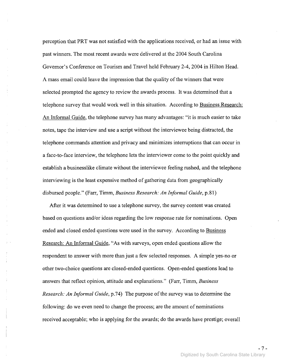perception that PRT was not satisfied with the applications received, or had an issue with past winners. The most recent awards were delivered at the 2004 South Carolina Governor's Conference on Tourism and Travel held February 2-4,2004 in Hilton Head. A mass email could leave the impression that the quality of the winners that were selected prompted the agency to review the awards process. It was determined that a telephone survey that would work well in this situation. According to Business Research: An Informal Guide, the telephone survey has many advantages: "it is much easier to take notes, tape the interview and use a script without the interviewee being distracted, the telephone commands attention and privacy and minimizes interruptions that can occur in a face-to-face interview, the telephone lets the interviewer come to the point quickly and establish a businesslike climate without the interviewee feeling rushed, and the telephone interviewing is the least expensive method of gathering data from geographically disbursed people." (Farr, Timm, *Business Research: An Informal Guide,* p.81)

After it was determined to use a telephone survey, the survey content was created based on questions and/or ideas regarding the low response rate for nominations. Open ended and closed ended questions were used in the survey. According to Business Research: An Informal Guide, "As with surveys, open ended questions allow the respondent to answer with more than just a few selected responses. A simple yes-no or other two-choice questions are closed-ended questions. Open-ended questions lead to answers that reflect opinion, attitude and explanations." (Farr, Timm, *Business Research: An Informal Guide,* p.74) The purpose of the survey was to determine the following: do we even need to change the process; are the amount of nominations received acceptable; who is applying for the awards; do the awards have prestige; overall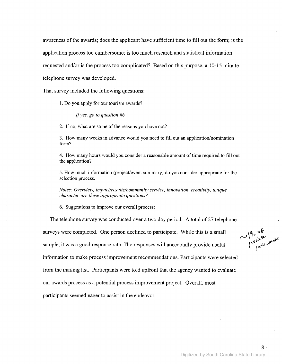awareness of the awards; does the applicant have sufficient time to fill out the form; is the application process too cumbersome; is too much research and statistical information requested and/or is the process too complicated? Based on this purpose, a 10-15 minute telephone survey was developed.

That survey included the following questions:

1. Do you apply for our tourism awards?

If*yes, go to question #6*

2. If no, what are some of the reasons you have not?

3. How many weeks in advance would you need to fill out an application/nomination form?

4. How many hours would you consider a reasonable amount oftime required to fill out the application?

5. How much information (project/event summary) do you consider appropriate for the selection process.

*Notes: Overview, impact/results/community service, innovation, creativity, unique character-are these appropriate questions?*

6. Suggestions to improve our overall process:

The telephone survey was conducted over a two day period. A total of 27 telephone surveys were completed. One person declined to participate. While this is a small sample, it was a good response rate. The responses will anecdotally provide useful information to make process improvement recommendations. Participants were selected from the mailing list. Participants were told upfront that the agency wanted to evaluate our awards process as a potential process improvement project. Overall, most participants seemed eager to assist in the endeavor.

 $\sim$   $\sqrt{\frac{96.56}{1055}}$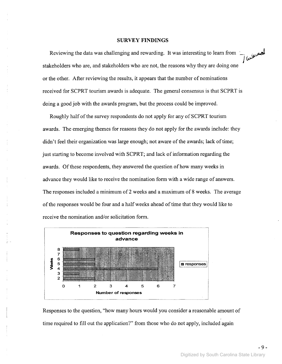#### **SURVEY FINDINGS**

Reviewing the data was challenging and rewarding. It was interesting to learn from / Cuilleura stakeholders who are, and stakeholders who are not, the reasons why they are doing one or the other. After reviewing the results, it appears that the number of nominations received for SCPRT tourism awards is adequate. The general consensus is that SCPRT is doing a good job with the awards program, but the process could be improved.

Roughly half of the survey respondents do not apply for any of SCPRT tourism awards. The emerging themes for reasons they do not apply for the awards include: they didn't feel their organization was large enough; not aware of the awards; lack of time; just starting to become involved with SCPRT; and lack of information regarding the awards. Of these respondents, they answered the question of how many weeks in advance they would like to receive the nomination form with a wide range of answers. The responses included a minimum of 2 weeks and a maximum of 8 weeks. The average of the responses would be four and a half weeks ahead of time that they would like to receive the nomination and/or solicitation form.



Responses to the question, "how many hours would you consider a reasonable amount of time required to fill out the application?" from those who do not apply, included again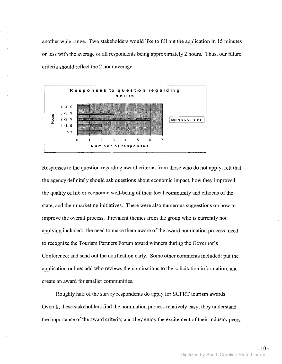another wide range. Two stakeholders would like to fill out the application in 15 minutes or less with the average of all respondents being approximately 2 hours. Thus, our future criteria should reflect the 2 hour average.



Responses to the question regarding award criteria, from those who do not apply, felt that the agency definitely should ask questions about economic impact, how they improved the quality of life or economic well-being of their local community and citizens of the state, and their marketing initiatives. There were also numerous suggestions on how to improve the overall process. Prevalent themes from the group who is currently not applying included: the need to make them aware of the award nomination process; need to recognize the Tourism Partners Forum award winners during the Governor's Conference; and send out the notification early. Some other comments included: put the application online; add who reviews the nominations to the solicitation information; and create an award for smaller communities.

Roughly half of the survey respondents do apply for SCPRT tourism awards. Overall, these stakeholders find the nomination process relatively easy; they understand the importance of the award criteria; and they enjoy the excitement of their industry peers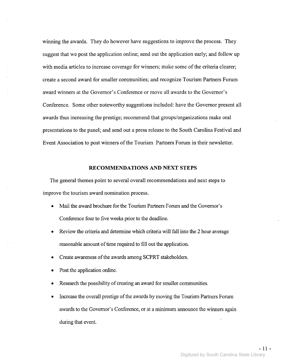winning the awards. They do however have suggestions to improve the process. They suggest that we post the application online; send out the application early; and follow up with media articles to increase coverage for winners; make some of the criteria clearer; create a second award for smaller communities; and recognize Tourism Partners Forum award winners at the Governor's Conference or move all awards to the Governor's Conference. Some other noteworthy suggestions included: have the Governor present all awards thus increasing the prestige; recommend that groups/organizations make oral presentations to the panel; and send out a press release to the South Carolina Festival and Event Association to post winners of the Tourism Partners Forum in their newsletter.

#### **RECOMMENDATIONS AND NEXT STEPS**

The general themes point to several overall recommendations and next steps to improve the tourism award nomination process.

- Mail the award brochure for the Tourism Partners Forum and the Governor's Conference four to five weeks prior to the deadline.
- Review the criteria and determine which criteria will fall into the 2 hour average reasonable amount of time required to fill out the application.
- Create awareness of the awards among SCPRT stakeholders.
- Post the application online.
- Research the possibility of creating an award for smaller communities.
- Increase the overall prestige of the awards by moving the Tourism Partners Forum awards to the Governor's Conference, or at a minimum announce the winners again during that event.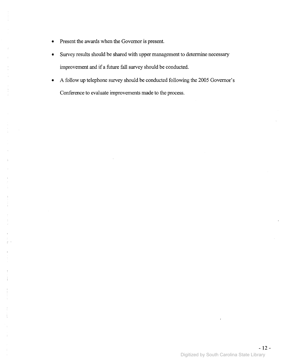- Present the awards when the Governor is present.
- Survey results should be shared with upper management to determine necessary improvement and if a future fall survey should be conducted.
- A follow up telephone survey should be conducted following the 2005 Governor's Conference to evaluate improvements made to the process.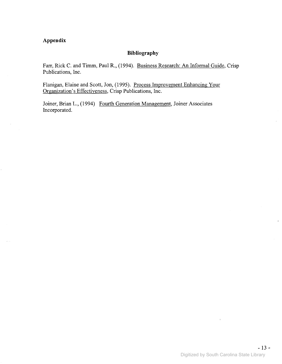# **Appendix**

# **Bibliography**

Farr, Rick C. and Timm, Paul R., (1994). Business Research: An Informal Guide, Crisp Publications, Inc.

Flanigan, Elaine and Scott, Jon, (1995). Process Improvement Enhancing Your Organization's Effectiveness, Crisp Publications, Inc.

Joiner, Brian L., (1994) Fourth Generation Management, Joiner Associates Incorporated.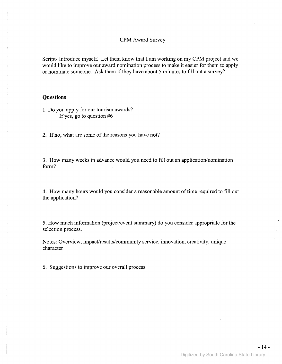#### CPM Award Survey

Script- Introduce myself. Let them know that I am working on my CPM project and we would like to improve our award nomination process to make it easier for them to apply or nominate someone. Ask them if they have about 5 minutes to fill out a survey?

# **Questions**

1. Do you apply for our tourism awards? If yes, go to question #6

2. If no, what are some of the reasons you have not?

3. How many weeks in advance would you need to fill out an application/nomination form?

4. How many hours would you consider a reasonable amount of time required to fill out the application?

5. How much information (project/event summary) do you consider appropriate for the selection process.

Notes: Overview, impact/results/community service, innovation, creativity, unique character

6. Suggestions to improve our overall process: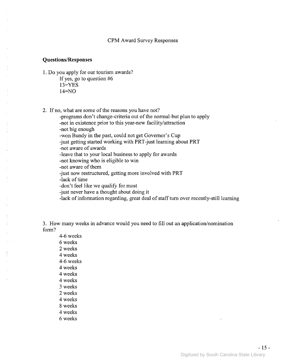### **Questions/Responses**

- 1. Do you apply for our tourism awards?
	- If yes, go to question #6 13=YES 14=NO

2. If no, what are some of the reasons you have not?

-programs don't change-criteria out of the normal-but plan to apply -not in existence prior to this year-new facility/attraction

-not big enough

-won Bundy in the past, could not get Governor's Cup

-just getting started working with PRT-just learning about PRT

-not aware of awards

-leave that to your local business to apply for awards

-not knowing who is eligible to win

-not aware of them

-just now restructured, getting more involved with PRT

-lack of time

-don't feel like we qualify for most

-just never have a thought about doing it

-lack of information regarding, great deal of staff turn over recently-still learning

3. How many weeks in advance would you need to fill out an application/nomination form?

4-6 weeks

- 6 weeks
- 2 weeks
- 4 weeks
- 4-6 weeks
- 4 weeks
- 4 weeks
- 4 weeks
- 3 weeks
- 2 weeks
- 4 weeks
- 8 weeks
- 4 weeks

6 weeks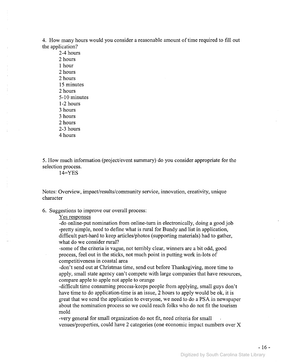4. How many hours would you consider a reasonable amount of time required to fill out the application?

2-4 hours 2 hours 1 hour 2 hours 2 hours 15 minutes 2 hours 5-10 minutes 1-2 hours 3 hours 3 hours 2 hours 2-3 hours 4 hours

5. How much information (project/event summary) do you consider appropriate for the selection process.

14=YES

Notes: Overview, impact/results/community service, innovation, creativity, unique character

6. Suggestions to improve our overall process:

Yes responses

-do online-put nomination from online-tum in electronically, doing a good job -pretty simple, need to define what is rural for Bundy and list in application, difficult part-hard to keep articles/photos (supporting materials) had to gather, what do we consider rural?

-some of the criteria is vague, not terribly clear, winners are a bit odd, good process, feel out in the sticks, not much point in putting work in-lots of competitiveness in coastal area

-don't send out at Christmas time, send out before Thanksgiving, more time to apply, small state agency can't compete with large companies that have resources, compare apple to apple not apple to orange

-difficult time consuming process-keeps people from applying, small guys don't have time to do application-time is an issue, 2 hours to apply would be ok, it is great that we send the application to everyone, we need to do a PSA in newspaper about the nomination process so we could reach folks who do not fit the tourism mold

-very general for small organization do not fit, need criteria for small venues/properties, could have 2 categories (one economic impact numbers over X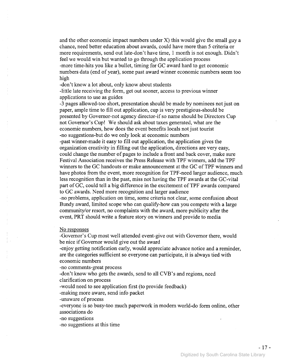and the other economic impact numbers under X) this would give the small guy a chance, need better education about awards, could have more than 5 criteria or more requirements, send out late-don't have time, I month is not enough. Didn't feel we would win but wanted to go through the application process -more time-hits you like a bullet, timing for GC award hard to get economic numbers data (end of year), some past award winner economic numbers seem too high

-don't know a lot about, only know about students

-little late receiving the form, get out sooner, access to previous winner applications to use as guides

-3 pages allowed-too short, presentation should be made by nominees not just on paper, ample time to fill out application, cup is very prestigious-should be presented by Governor-not agency director-if so name should be Directors Cup not Governor's Cup! We should ask about taxes generated, what are the economic numbers, how does the event benefits locals not just tourist -no suggestions-but do we only look at economic numbers

-past winner-made it easy to fill out application, the application gives the organization creativity in filling out the application, directions are very easy, could change the number of pages to include a front and back cover, make sure Festival Association receives the Press Release with TPF winners, add the TPF winners to the GC handouts or make announcement at the GC of TPF winners and have photos from the event, more recognition for TPF-need larger audience, much less recognition than in the past, miss not having the TPF awards at the GC-vital part of GC, could tell a big difference in the excitement ofTPF awards compared to GC awards. Need more recognition and larger audience

-no problems, application on time, some criteria not clear, some confusion about Bundy award, limited scope who can qualify-how can you compete with a large community/or resort, no complaints with the award, more publicity after the event, PRT should write a feature story on winners and provide to media

#### No responses

-Governor's Cup most well attended event-give out with Governor there, would be nice if Governor would give out the award

-enjoy getting notification early, would appreciate advance notice and a reminder, are the categories sufficient so everyone can participate, it is always tied with economic numbers

-no comments-great process

-don't know who gets the awards, send to all CVB's and regions, need clarification on process

-would need to see application first (to provide feedback)

-making more aware, send info packet

-unaware of process

-everyone is so busy-too much paperwork in modem world-do form online, other associations do

-no suggestions

-no suggestions at this time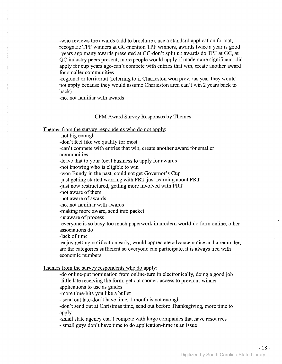-who reviews the awards (add to brochure), use a standard application format, recognize TPF winners at GC-mention TPF winners, awards twice a year is good -years ago many awards presented at GC-don't split up awards do TPF at GC, at GC industry peers present, more people would apply if made more significant, did apply for cup years ago-can't compete with entries that win, create another award for smaller communities

-regional or territorial (referring to ifCharleston won previous year-they would not apply because they would assume Charleston area can't win 2 years back to back)

-no, not familiar with awards

#### CPM Award Survey Responses by Themes

#### Themes from the survey respondents who do not apply:

-not big enough

-don't feel like we qualify for most

-can't compete with entries that win, create another award for smaller communities

-leave that to your local business to apply for awards

-not knowing who is eligible to win

-won Bundy in the past, could not get Governor's Cup

-just getting started working with PRT-just learning about PRT

-just now restructured, getting more involved with PRT

-not aware of them

-not aware of awards

-no, not familiar with awards

-making more aware, send info packet

-unaware of process

-everyone is so busy-too much paperwork in modern world-do form online, other associations do

-lack of time

-enjoy getting notification early, would appreciate advance notice and a reminder, are the categories sufficient so everyone can participate, it is always tied with economic numbers

#### Themes from the survey respondents who do apply:

-do online-put nomination from online-turn in electronically, doing a good job -little late receiving the form, get out sooner, access to previous winner applications to use as guides

-more time-hits you like a bullet

- send out late-don't have time, 1 month is not enough.

-don't send out at Christmas time, send out before Thanksgiving, more time to apply

-small state agency can't compete with large companies that have resourees - small guys don't have time to do application-time is an issue